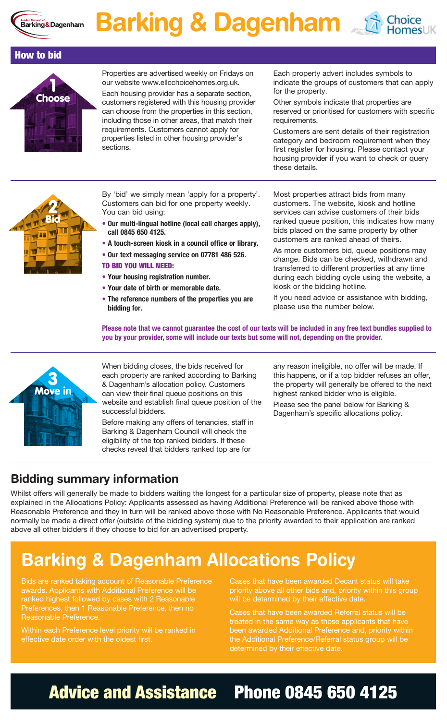

## **Barking & Dagenham**  $\mathbb{E}_{\text{Homes}}$





Properties are advertised weekly on Fridays on our website www.ellcchoicehomes.org.uk.

Each housing provider has a separate section, customers registered with this housing provider can choose from the properties in this section, including those in other areas, that match their requirements. Customers cannot apply for properties listed in other housing provider's sections.

Each property advert includes symbols to indicate the groups of customers that can apply for the property.

Other symbols indicate that properties are reserved or prioritised for customers with specific requirements.

Customers are sent details of their registration category and bedroom requirement when they first register for housing. Please contact your housing provider if you want to check or query these details.



By 'bid' we simply mean 'apply for a property'. Customers can bid for one property weekly. You can bid using:

- **• Our multi-lingual hotline (local call charges apply), call 0845 650 4125.**
- **A touch-screen kiosk in a council office or library.**
- **• Our text messaging service on 07781 486 526.**
- TO BID YOU WILL NEED:
	- **• Your housing registration number.**
- **• Your date of birth or memorable date.**
- **• The reference numbers of the properties you are bidding for.**

Most properties attract bids from many customers. The website, kiosk and hotline services can advise customers of their bids ranked queue position, this indicates how many bids placed on the same property by other customers are ranked ahead of theirs.

As more customers bid, queue positions may change. Bids can be checked, withdrawn and transferred to different properties at any time during each bidding cycle using the website, a kiosk or the bidding hotline.

If you need advice or assistance with bidding, please use the number below.

**Please note that we cannot guarantee the cost of our texts will be included in any free text bundles supplied to you by your provider, some will include our texts but some will not, depending on the provider.**



When bidding closes, the bids received for each property are ranked according to Barking & Dagenham's allocation policy. Customers can view their final queue positions on this website and establish final queue position of the successful bidders.

Before making any offers of tenancies, staff in Barking & Dagenham Council will check the eligibility of the top ranked bidders. If these checks reveal that bidders ranked top are for

any reason ineligible, no offer will be made. If this happens, or if a top bidder refuses an offer, the property will generally be offered to the next highest ranked bidder who is eligible.

Please see the panel below for Barking & Dagenham's specific allocations policy.

#### **Bidding summary information**

Whilst offers will generally be made to bidders waiting the longest for a particular size of property, please note that as explained in the Allocations Policy: Applicants assessed as having Additional Preference will be ranked above those with Reasonable Preference and they in turn will be ranked above those with No Reasonable Preference. Applicants that would normally be made a direct offer (outside of the bidding system) due to the priority awarded to their application are ranked above all other bidders if they choose to bid for an advertised property.

### **Barking & Dagenham Allocations Policy**

Bids are ranked taking account of Reasonable Preference awards. Applicants with Additional Preference will be ranked highest followed by cases with 2 Reasonable Preferences, then 1 Reasonable Preference, then no Reasonable Preference.

Within each Preference level priority will be ranked in effective date order with the oldest first.

Cases that have been awarded Decant status will take priority above all other bids and, priority within this group will be determined by their effective date.

Cases that have been awarded Referral status will be treated in the same way as those applicants that have been awarded Additional Preference and, priority within the Additional Preference/Referral status group will be determined by their effective date.

### Advice and Assistance Phone 0845 650 4125